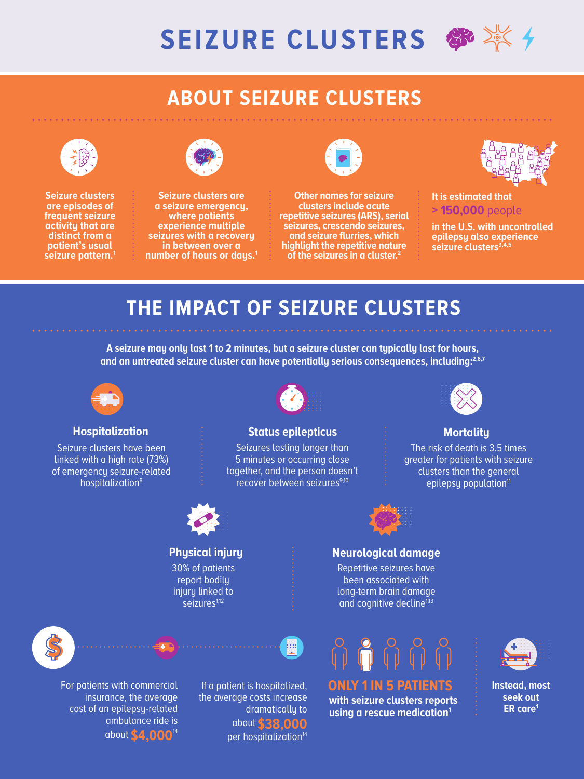

## **ABOUT SEIZURE CLUSTERS**



**Seizure clusters are episodes of frequent seizure activity that are distinct from a patient's usual seizure pattern.1**



**Seizure clusters are a seizure emergency, where patients experience multiple seizures with a recovery in between over a number of hours or days.1**



**Other names for seizure clusters include acute repetitive seizures (ARS), serial seizures, crescendo seizures, and seizure flurries, which highlight the repetitive nature of the seizures in a cluster.2**



**It is estimated that > 150,000** people

**in the U.S. with uncontrolled epilepsy also experience**  seizure clusters<sup>3,4,5</sup>

# **THE IMPACT OF SEIZURE CLUSTERS**

**A seizure may only last 1 to 2 minutes, but a seizure cluster can typically last for hours,**  and an untreated seizure cluster can have potentially serious consequences, including:<sup>2,6,7</sup>



### **Hospitalization The Status epilepticus Exercise Status expansion Advisory Advisory Mortality**

Seizure clusters have been linked with a high rate (73%) of emergency seizure-related hospitalization<sup>8</sup>



Seizures lasting longer than 5 minutes or occurring close together, and the person doesn't recover between seizures<sup>9,10</sup>



30% of patients report bodily injury linked to seizures<sup>1,12</sup>





For patients with commercial insurance, the average cost of an epilepsy-related ambulance ride is about **\$4,000**<sup>14</sup>

If a patient is hospitalized, the average costs increase dramatically to about **\$38,000** per hospitalization<sup>14</sup>



**ER care1 with seizure clusters reports using a rescue medication1**



The risk of death is 3.5 times greater for patients with seizure clusters than the general epilepsy population<sup>11</sup>



### **Physical injury Neurological damage**

Repetitive seizures have been associated with long-term brain damage and cognitive decline<sup>1,13</sup>



**Instead, most seek out**